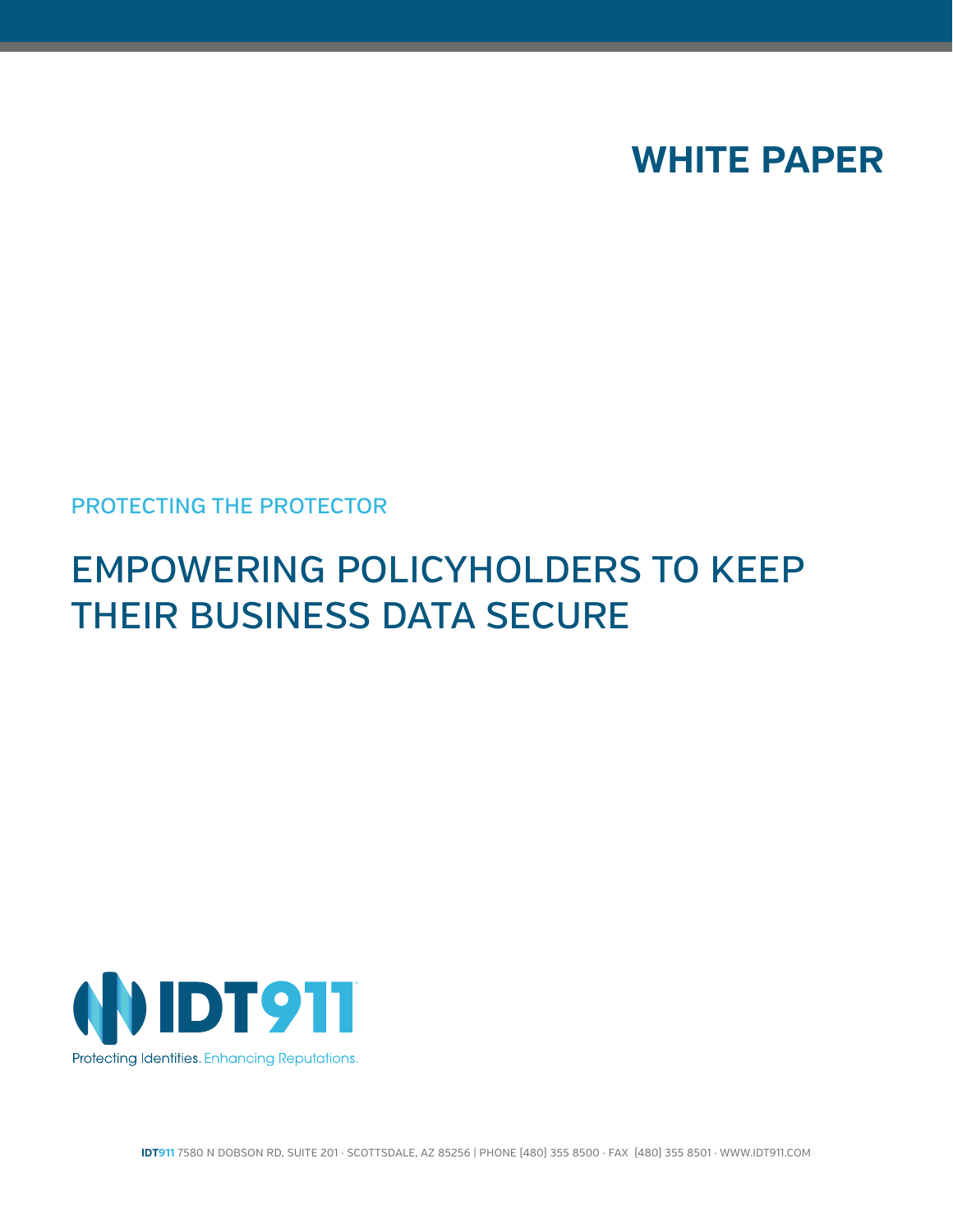

### PROTECTING THE PROTECTOR

# EMPOWERING POLICYHOLDERS TO KEEP THEIR BUSINESS DATA SECURE



**IDT911** 7580 N DOBSON RD, SUITE 201 · SCOTTSDALE, AZ 85256 | PHONE (480) 355 8500 · FAX (480) 355 8501 · WWW.IDT911.COM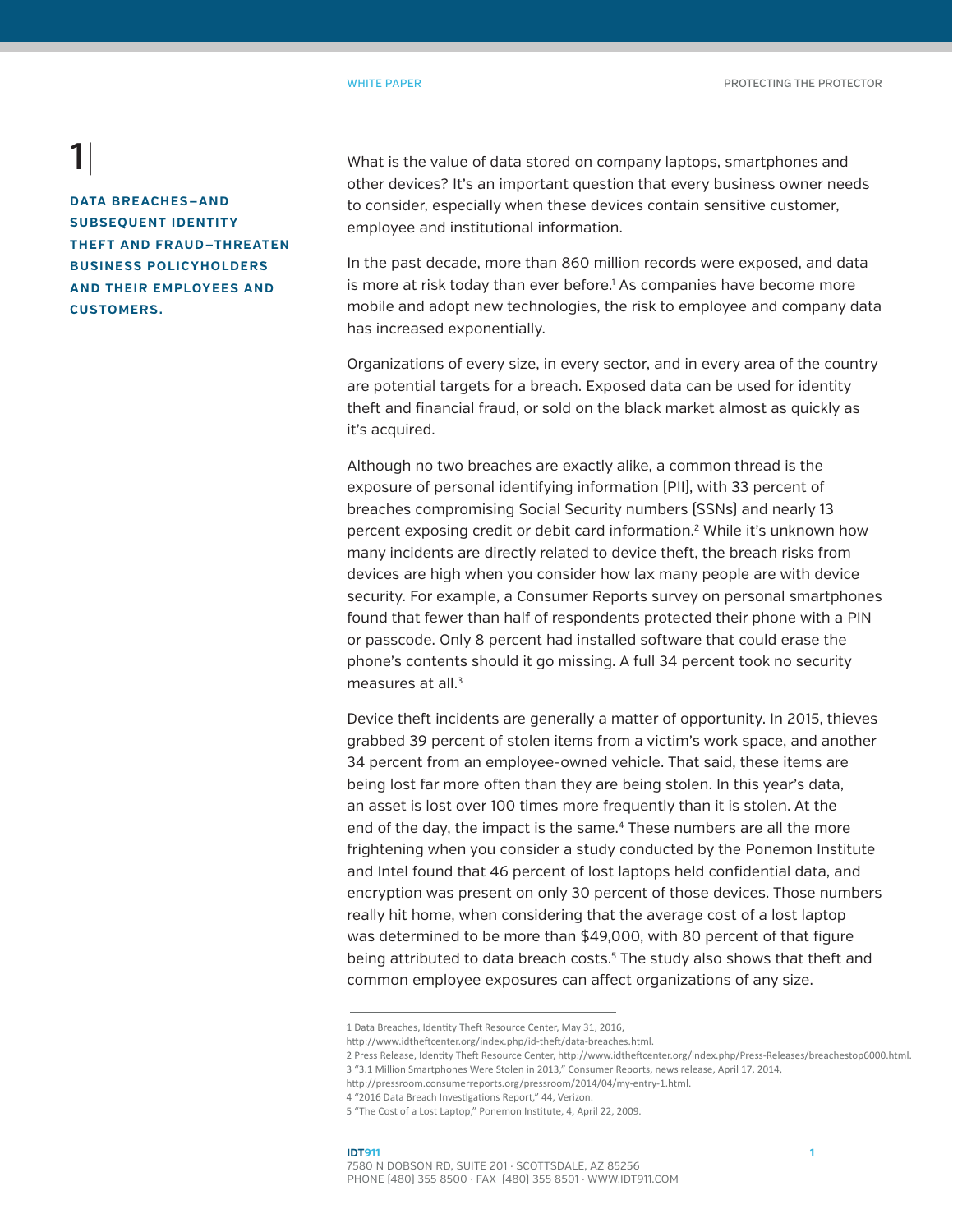**DATA BREACHES—AND SUBSEQUENT IDENTITY THEFT AND FRAUD—THREATEN BUSINESS POLICYHOLDERS AND THEIR EMPLOYEES AND CUSTOMERS.**

What is the value of data stored on company laptops, smartphones and other devices? It's an important question that every business owner needs to consider, especially when these devices contain sensitive customer, employee and institutional information.

In the past decade, more than 860 million records were exposed, and data is more at risk today than ever before.<sup>1</sup> As companies have become more mobile and adopt new technologies, the risk to employee and company data has increased exponentially.

Organizations of every size, in every sector, and in every area of the country are potential targets for a breach. Exposed data can be used for identity theft and financial fraud, or sold on the black market almost as quickly as it's acquired.

Although no two breaches are exactly alike, a common thread is the exposure of personal identifying information (PII), with 33 percent of breaches compromising Social Security numbers (SSNs) and nearly 13 percent exposing credit or debit card information.<sup>2</sup> While it's unknown how many incidents are directly related to device theft, the breach risks from devices are high when you consider how lax many people are with device security. For example, a Consumer Reports survey on personal smartphones found that fewer than half of respondents protected their phone with a PIN or passcode. Only 8 percent had installed software that could erase the phone's contents should it go missing. A full 34 percent took no security measures at all.3

Device theft incidents are generally a matter of opportunity. In 2015, thieves grabbed 39 percent of stolen items from a victim's work space, and another 34 percent from an employee-owned vehicle. That said, these items are being lost far more often than they are being stolen. In this year's data, an asset is lost over 100 times more frequently than it is stolen. At the end of the day, the impact is the same.4 These numbers are all the more frightening when you consider a study conducted by the Ponemon Institute and Intel found that 46 percent of lost laptops held confidential data, and encryption was present on only 30 percent of those devices. Those numbers really hit home, when considering that the average cost of a lost laptop was determined to be more than \$49,000, with 80 percent of that figure being attributed to data breach costs.<sup>5</sup> The study also shows that theft and common employee exposures can affect organizations of any size.

#### **IDT911 1** 7580 N DOBSON RD, SUITE 201 · SCOTTSDALE, AZ 85256 PHONE (480) 355 8500 · FAX (480) 355 8501 · WWW.IDT911.COM

<sup>1</sup> Data Breaches, Identity Theft Resource Center, May 31, 2016,

http://www.idtheftcenter.org/index.php/id-theft/data-breaches.html.

<sup>2</sup> Press Release, Identity Theft Resource Center, http://www.idtheftcenter.org/index.php/Press-Releases/breachestop6000.html. 3 "3.1 Million Smartphones Were Stolen in 2013," Consumer Reports, news release, April 17, 2014,

http://pressroom.consumerreports.org/pressroom/2014/04/my-entry-1.html.

<sup>4 &</sup>quot;2016 Data Breach Investigations Report," 44, Verizon.

<sup>5 &</sup>quot;The Cost of a Lost Laptop," Ponemon Institute, 4, April 22, 2009.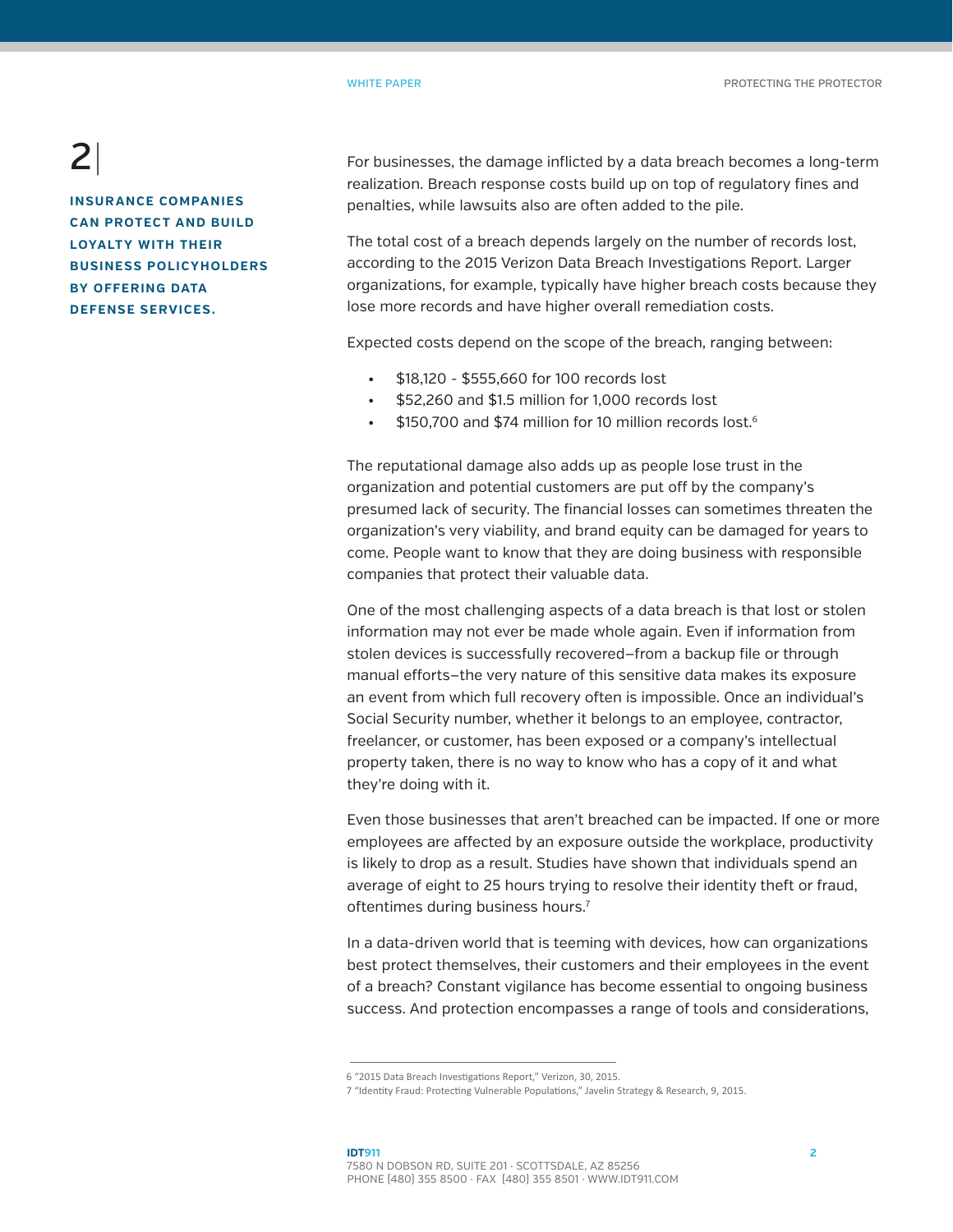**INSURANCE COMPANIES CAN PROTECT AND BUILD LOYALTY WITH THEIR BUSINESS POLICYHOLDERS BY OFFERING DATA DEFENSE SERVICES.** 

For businesses, the damage inflicted by a data breach becomes a long-term realization. Breach response costs build up on top of regulatory fines and penalties, while lawsuits also are often added to the pile.

The total cost of a breach depends largely on the number of records lost, according to the 2015 Verizon Data Breach Investigations Report. Larger organizations, for example, typically have higher breach costs because they lose more records and have higher overall remediation costs.

Expected costs depend on the scope of the breach, ranging between:

- \$18,120 \$555,660 for 100 records lost
- $\cdot$  \$52,260 and \$1.5 million for 1,000 records lost
- \$150,700 and \$74 million for 10 million records lost.<sup>6</sup>

The reputational damage also adds up as people lose trust in the organization and potential customers are put off by the company's presumed lack of security. The financial losses can sometimes threaten the organization's very viability, and brand equity can be damaged for years to come. People want to know that they are doing business with responsible companies that protect their valuable data.

One of the most challenging aspects of a data breach is that lost or stolen information may not ever be made whole again. Even if information from stolen devices is successfully recovered—from a backup file or through manual efforts—the very nature of this sensitive data makes its exposure an event from which full recovery often is impossible. Once an individual's Social Security number, whether it belongs to an employee, contractor, freelancer, or customer, has been exposed or a company's intellectual property taken, there is no way to know who has a copy of it and what they're doing with it.

Even those businesses that aren't breached can be impacted. If one or more employees are affected by an exposure outside the workplace, productivity is likely to drop as a result. Studies have shown that individuals spend an average of eight to 25 hours trying to resolve their identity theft or fraud, oftentimes during business hours.<sup>7</sup>

In a data-driven world that is teeming with devices, how can organizations best protect themselves, their customers and their employees in the event of a breach? Constant vigilance has become essential to ongoing business success. And protection encompasses a range of tools and considerations,

<sup>6 &</sup>quot;2015 Data Breach Investigations Report," Verizon, 30, 2015.

<sup>7 &</sup>quot;Identity Fraud: Protecting Vulnerable Populations," Javelin Strategy & Research, 9, 2015.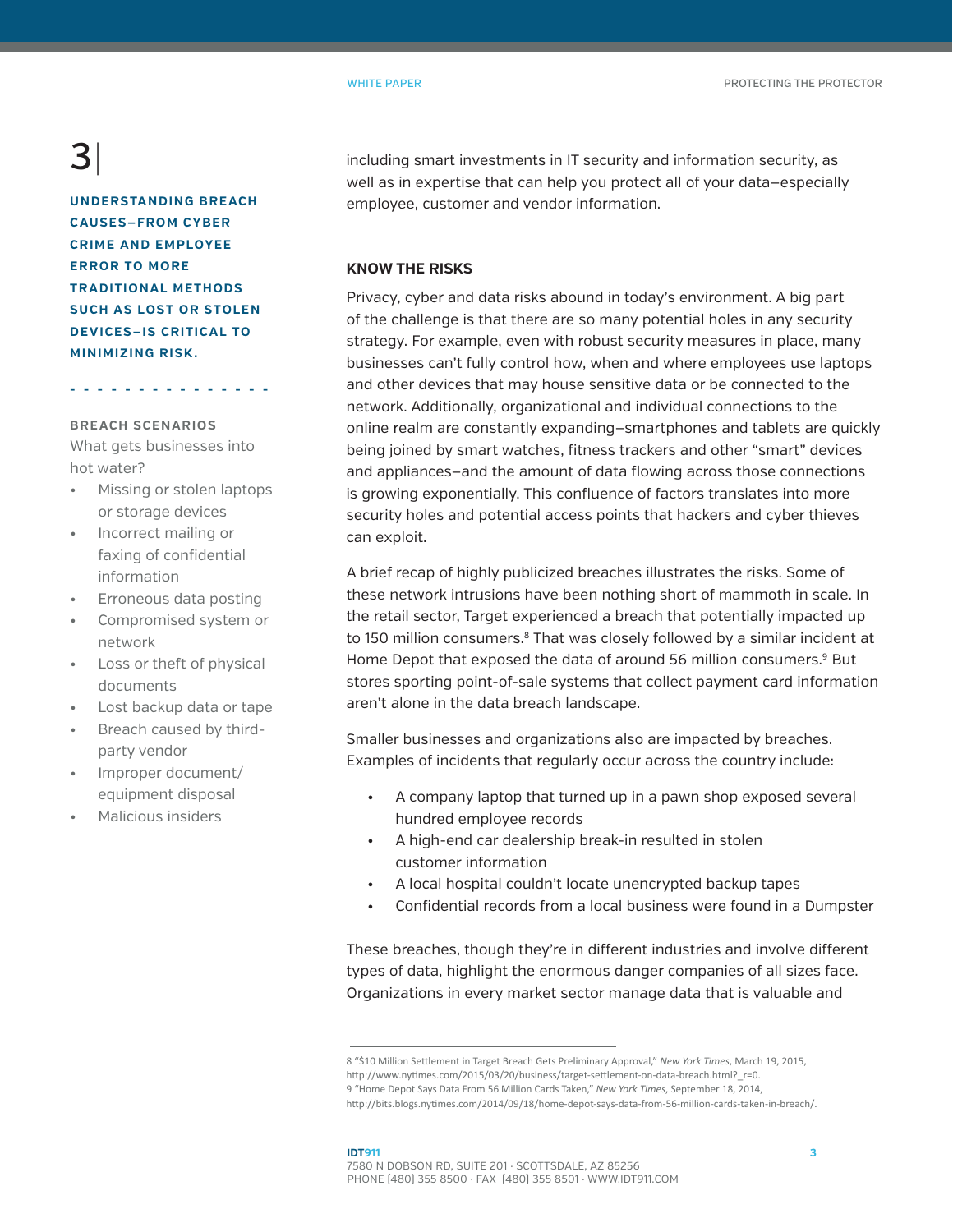### $\bf{B}$

**UNDERSTANDING BREACH CAUSES—FROM CYBER CRIME AND EMPLOYEE ERROR TO MORE TRADITIONAL METHODS SUCH AS LOST OR STOLEN DEVICES—IS CRITICAL TO MINIMIZING RISK.** 

**- - - - - - - - - - - - - - -** 

### **BREACH SCENARIOS**

What gets businesses into hot water?

- Missing or stolen laptops or storage devices
- Incorrect mailing or faxing of confidential information
- Erroneous data posting
- Compromised system or network
- Loss or theft of physical documents
- Lost backup data or tape
- Breach caused by thirdparty vendor
- Improper document/ equipment disposal
- Malicious insiders

including smart investments in IT security and information security, as well as in expertise that can help you protect all of your data—especially employee, customer and vendor information.

### **KNOW THE RISKS**

Privacy, cyber and data risks abound in today's environment. A big part of the challenge is that there are so many potential holes in any security strategy. For example, even with robust security measures in place, many businesses can't fully control how, when and where employees use laptops and other devices that may house sensitive data or be connected to the network. Additionally, organizational and individual connections to the online realm are constantly expanding—smartphones and tablets are quickly being joined by smart watches, fitness trackers and other "smart" devices and appliances—and the amount of data flowing across those connections is growing exponentially. This confluence of factors translates into more security holes and potential access points that hackers and cyber thieves can exploit.

A brief recap of highly publicized breaches illustrates the risks. Some of these network intrusions have been nothing short of mammoth in scale. In the retail sector, Target experienced a breach that potentially impacted up to 150 million consumers.<sup>8</sup> That was closely followed by a similar incident at Home Depot that exposed the data of around 56 million consumers.<sup>9</sup> But stores sporting point-of-sale systems that collect payment card information aren't alone in the data breach landscape.

Smaller businesses and organizations also are impacted by breaches. Examples of incidents that regularly occur across the country include:

- A company laptop that turned up in a pawn shop exposed several hundred employee records
- A high-end car dealership break-in resulted in stolen customer information
- A local hospital couldn't locate unencrypted backup tapes
- Confidential records from a local business were found in a Dumpster

These breaches, though they're in different industries and involve different types of data, highlight the enormous danger companies of all sizes face. Organizations in every market sector manage data that is valuable and

<sup>8 &</sup>quot;\$10 Million Settlement in Target Breach Gets Preliminary Approval," *New York Times*, March 19, 2015, http://www.nytimes.com/2015/03/20/business/target-settlement-on-data-breach.html?\_r=0. 9 "Home Depot Says Data From 56 Million Cards Taken," *New York Times*, September 18, 2014,

http://bits.blogs.nytimes.com/2014/09/18/home-depot-says-data-from-56-million-cards-taken-in-breach/.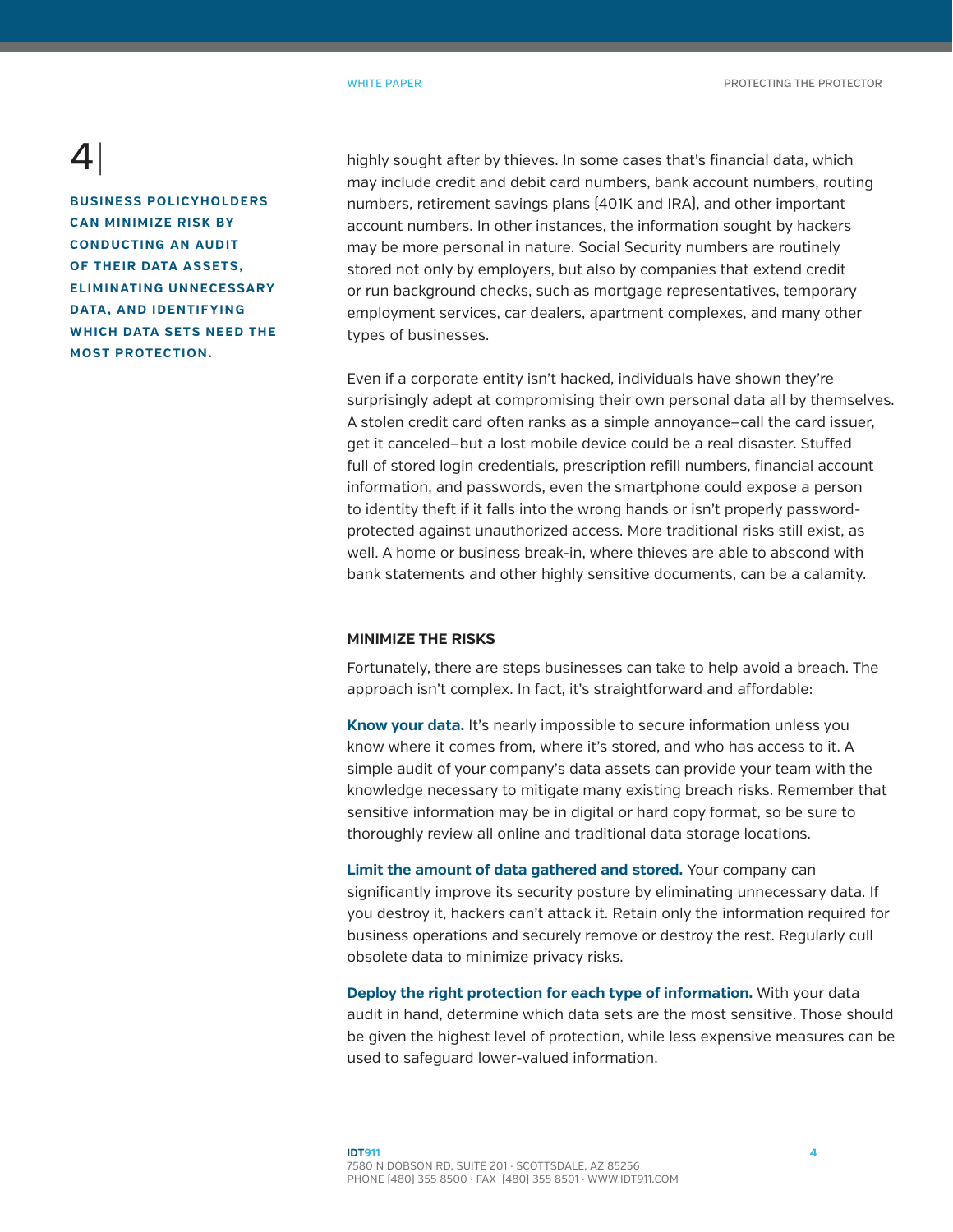**BUSINESS POLICYHOLDERS CAN MINIMIZE RISK BY CONDUCTING AN AUDIT OF THEIR DATA ASSETS, ELIMINATING UNNECESSARY DATA , AND IDENTIF YING WHICH DATA SETS NEED THE MOST PROTECTION.** 

highly sought after by thieves. In some cases that's financial data, which may include credit and debit card numbers, bank account numbers, routing numbers, retirement savings plans (401K and IRA), and other important account numbers. In other instances, the information sought by hackers may be more personal in nature. Social Security numbers are routinely stored not only by employers, but also by companies that extend credit or run background checks, such as mortgage representatives, temporary employment services, car dealers, apartment complexes, and many other types of businesses.

Even if a corporate entity isn't hacked, individuals have shown they're surprisingly adept at compromising their own personal data all by themselves. A stolen credit card often ranks as a simple annoyance—call the card issuer, get it canceled—but a lost mobile device could be a real disaster. Stuffed full of stored login credentials, prescription refill numbers, financial account information, and passwords, even the smartphone could expose a person to identity theft if it falls into the wrong hands or isn't properly passwordprotected against unauthorized access. More traditional risks still exist, as well. A home or business break-in, where thieves are able to abscond with bank statements and other highly sensitive documents, can be a calamity.

#### **MINIMIZE THE RISKS**

Fortunately, there are steps businesses can take to help avoid a breach. The approach isn't complex. In fact, it's straightforward and affordable:

**Know your data.** It's nearly impossible to secure information unless you know where it comes from, where it's stored, and who has access to it. A simple audit of your company's data assets can provide your team with the knowledge necessary to mitigate many existing breach risks. Remember that sensitive information may be in digital or hard copy format, so be sure to thoroughly review all online and traditional data storage locations.

**Limit the amount of data gathered and stored.** Your company can significantly improve its security posture by eliminating unnecessary data. If you destroy it, hackers can't attack it. Retain only the information required for business operations and securely remove or destroy the rest. Regularly cull obsolete data to minimize privacy risks.

**Deploy the right protection for each type of information.** With your data audit in hand, determine which data sets are the most sensitive. Those should be given the highest level of protection, while less expensive measures can be used to safeguard lower-valued information.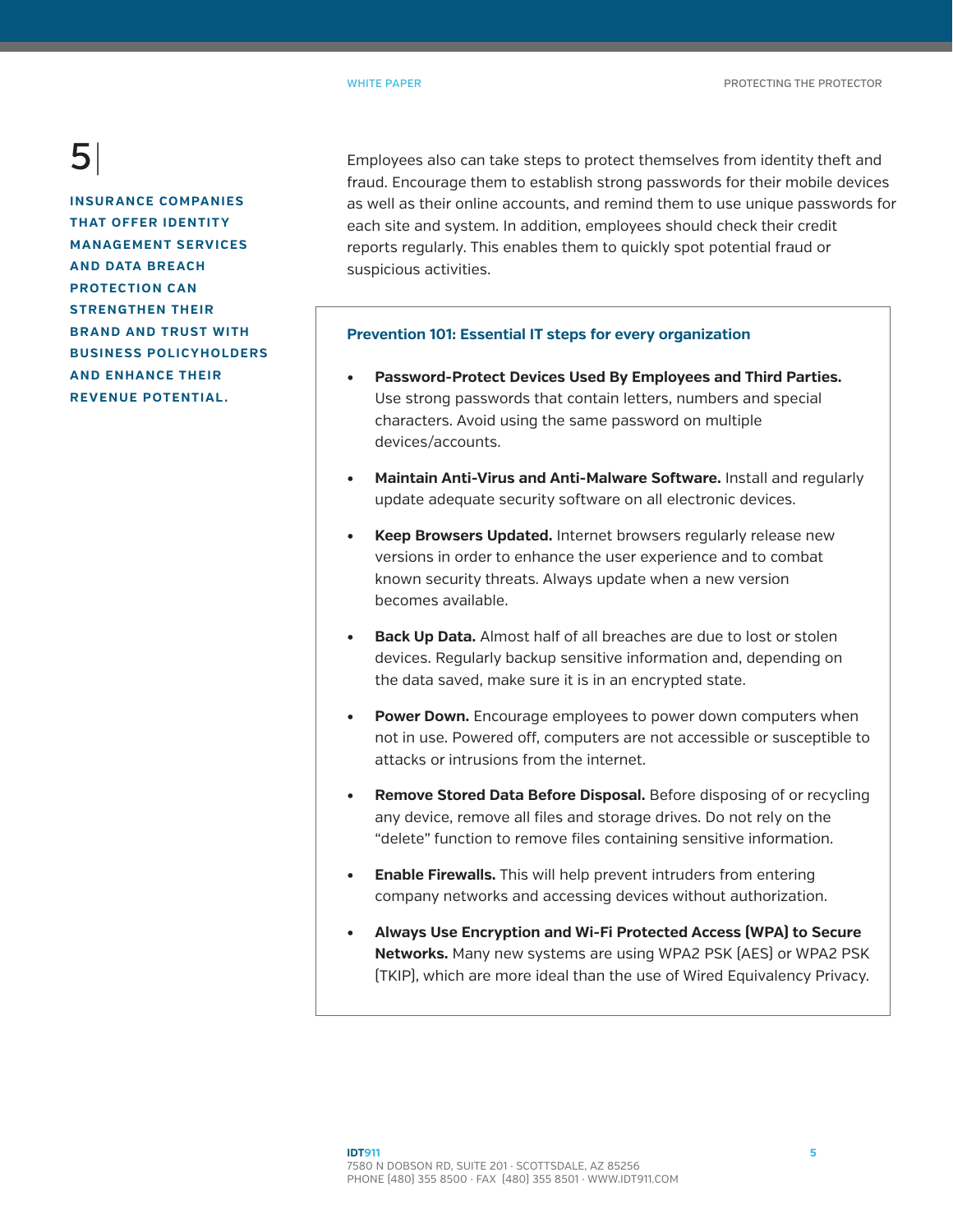**INSURANCE COMPANIES THAT OFFER IDENTITY MANAGEMENT SERVICES AND DATA BREACH PROTECTION CAN STRENGTHEN THEIR BRAND AND TRUST WITH BUSINESS POLICYHOLDERS AND ENHANCE THEIR REVENUE POTENTIAL.**

Employees also can take steps to protect themselves from identity theft and fraud. Encourage them to establish strong passwords for their mobile devices as well as their online accounts, and remind them to use unique passwords for each site and system. In addition, employees should check their credit reports regularly. This enables them to quickly spot potential fraud or suspicious activities.

### **Prevention 101: Essential IT steps for every organization**

- **• Password-Protect Devices Used By Employees and Third Parties.** Use strong passwords that contain letters, numbers and special characters. Avoid using the same password on multiple devices/accounts.
- **• Maintain Anti-Virus and Anti-Malware Software.** Install and regularly update adequate security software on all electronic devices.
- **• Keep Browsers Updated.** Internet browsers regularly release new versions in order to enhance the user experience and to combat known security threats. Always update when a new version becomes available.
- **• Back Up Data.** Almost half of all breaches are due to lost or stolen devices. Regularly backup sensitive information and, depending on the data saved, make sure it is in an encrypted state.
- **• Power Down.** Encourage employees to power down computers when not in use. Powered off, computers are not accessible or susceptible to attacks or intrusions from the internet.
- **• Remove Stored Data Before Disposal.** Before disposing of or recycling any device, remove all files and storage drives. Do not rely on the "delete" function to remove files containing sensitive information.
- **• Enable Firewalls.** This will help prevent intruders from entering company networks and accessing devices without authorization.
- **• Always Use Encryption and Wi-Fi Protected Access (WPA) to Secure Networks.** Many new systems are using WPA2 PSK (AES) or WPA2 PSK (TKIP), which are more ideal than the use of Wired Equivalency Privacy.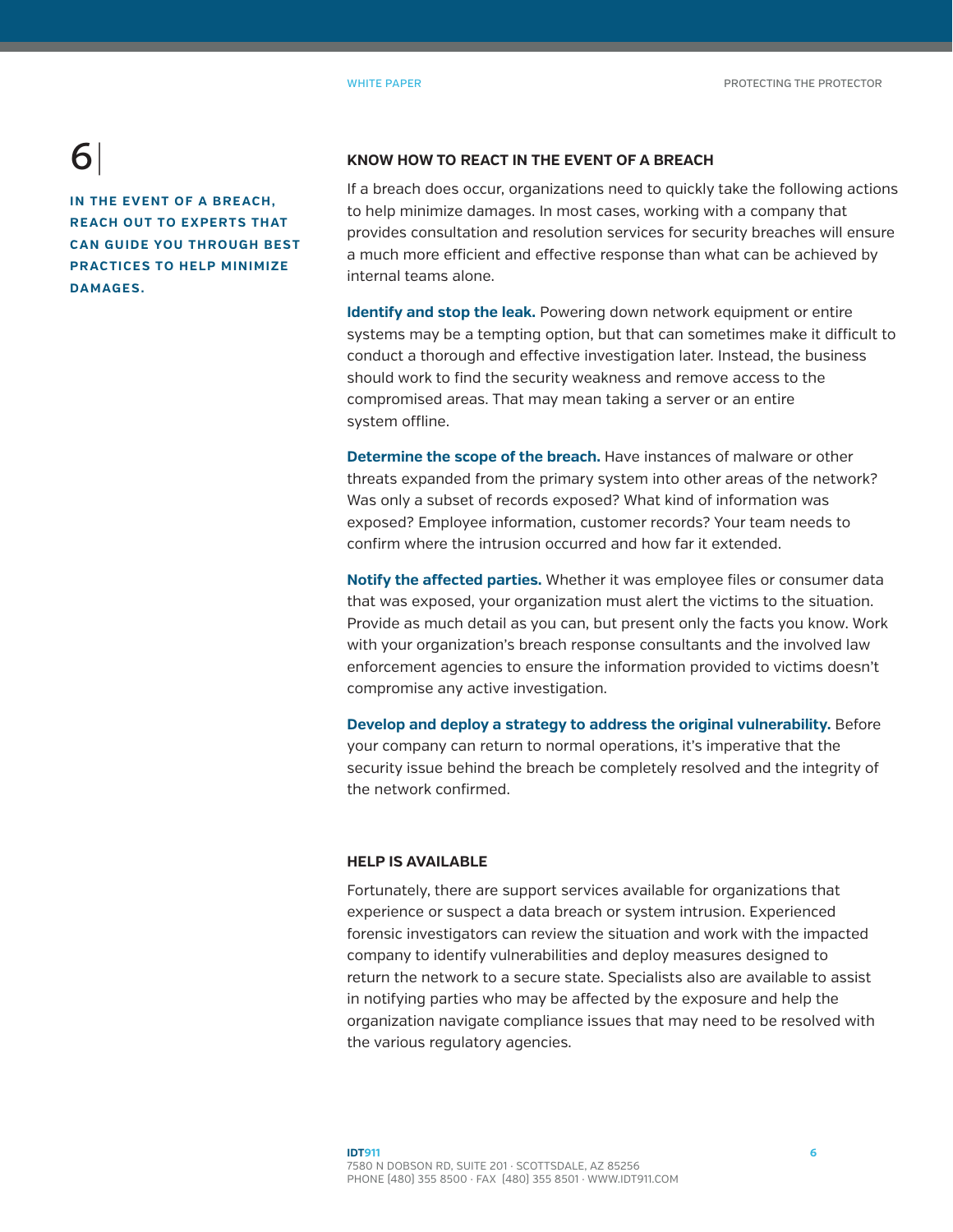**IN THE EVENT OF A BREACH. REACH OUT TO EXPERTS THAT CAN GUIDE YOU THROUGH BEST PRACTICES TO HELP MINIMIZE DAMAGES.**

#### **KNOW HOW TO REACT IN THE EVENT OF A BREACH**

If a breach does occur, organizations need to quickly take the following actions to help minimize damages. In most cases, working with a company that provides consultation and resolution services for security breaches will ensure a much more efficient and effective response than what can be achieved by internal teams alone.

**Identify and stop the leak.** Powering down network equipment or entire systems may be a tempting option, but that can sometimes make it difficult to conduct a thorough and effective investigation later. Instead, the business should work to find the security weakness and remove access to the compromised areas. That may mean taking a server or an entire system offline.

**Determine the scope of the breach.** Have instances of malware or other threats expanded from the primary system into other areas of the network? Was only a subset of records exposed? What kind of information was exposed? Employee information, customer records? Your team needs to confirm where the intrusion occurred and how far it extended.

**Notify the affected parties.** Whether it was employee files or consumer data that was exposed, your organization must alert the victims to the situation. Provide as much detail as you can, but present only the facts you know. Work with your organization's breach response consultants and the involved law enforcement agencies to ensure the information provided to victims doesn't compromise any active investigation.

**Develop and deploy a strategy to address the original vulnerability.** Before your company can return to normal operations, it's imperative that the security issue behind the breach be completely resolved and the integrity of the network confirmed.

#### **HELP IS AVAILABLE**

Fortunately, there are support services available for organizations that experience or suspect a data breach or system intrusion. Experienced forensic investigators can review the situation and work with the impacted company to identify vulnerabilities and deploy measures designed to return the network to a secure state. Specialists also are available to assist in notifying parties who may be affected by the exposure and help the organization navigate compliance issues that may need to be resolved with the various regulatory agencies.